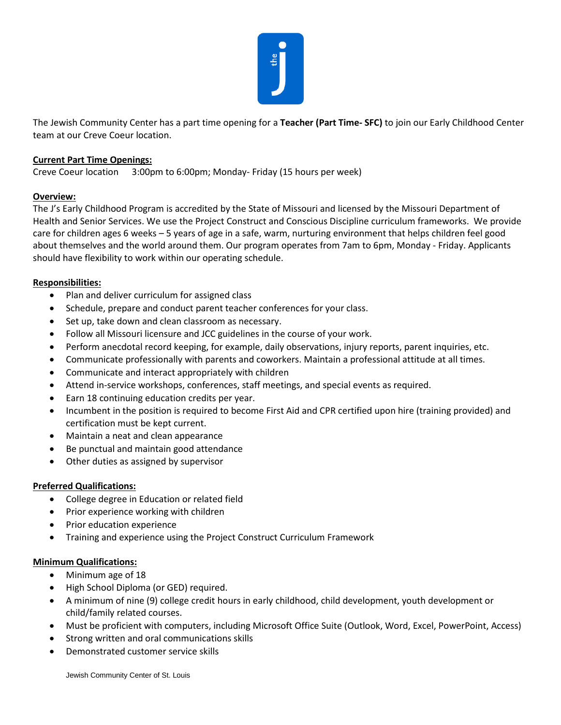

The Jewish Community Center has a part time opening for a **Teacher (Part Time- SFC)** to join our Early Childhood Center team at our Creve Coeur location.

# **Current Part Time Openings:**

Creve Coeur location 3:00pm to 6:00pm; Monday- Friday (15 hours per week)

# **Overview:**

The J's Early Childhood Program is accredited by the State of Missouri and licensed by the Missouri Department of Health and Senior Services. We use the Project Construct and Conscious Discipline curriculum frameworks. We provide care for children ages 6 weeks – 5 years of age in a safe, warm, nurturing environment that helps children feel good about themselves and the world around them. Our program operates from 7am to 6pm, Monday - Friday. Applicants should have flexibility to work within our operating schedule.

### **Responsibilities:**

- Plan and deliver curriculum for assigned class
- Schedule, prepare and conduct parent teacher conferences for your class.
- Set up, take down and clean classroom as necessary.
- Follow all Missouri licensure and JCC guidelines in the course of your work.
- Perform anecdotal record keeping, for example, daily observations, injury reports, parent inquiries, etc.
- Communicate professionally with parents and coworkers. Maintain a professional attitude at all times.
- Communicate and interact appropriately with children
- Attend in-service workshops, conferences, staff meetings, and special events as required.
- Earn 18 continuing education credits per year.
- Incumbent in the position is required to become First Aid and CPR certified upon hire (training provided) and certification must be kept current.
- Maintain a neat and clean appearance
- Be punctual and maintain good attendance
- Other duties as assigned by supervisor

### **Preferred Qualifications:**

- College degree in Education or related field
- Prior experience working with children
- Prior education experience
- Training and experience using the Project Construct Curriculum Framework

### **Minimum Qualifications:**

- Minimum age of 18
- High School Diploma (or GED) required.
- A minimum of nine (9) college credit hours in early childhood, child development, youth development or child/family related courses.
- Must be proficient with computers, including Microsoft Office Suite (Outlook, Word, Excel, PowerPoint, Access)
- Strong written and oral communications skills
- Demonstrated customer service skills